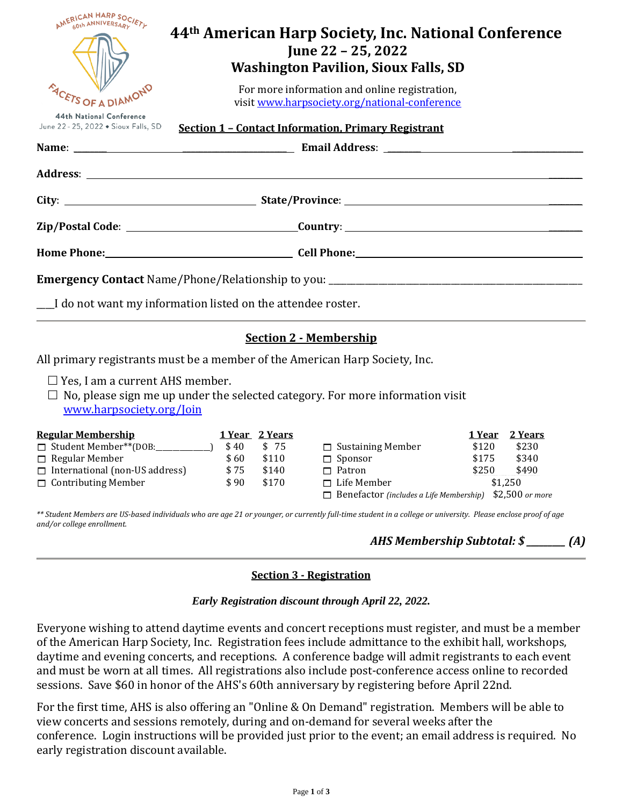| <b>NERICAN HARP SOCIETLE</b>                                     | 44th American Harp Society, Inc. National Conference<br>June 22 – 25, 2022<br><b>Washington Pavilion, Sioux Falls, SD</b> |  |  |
|------------------------------------------------------------------|---------------------------------------------------------------------------------------------------------------------------|--|--|
| <b>EN SOF A DIAMOND</b>                                          | For more information and online registration,<br>visit www.harpsociety.org/national-conference                            |  |  |
| 44th National Conference<br>June 22 - 25, 2022 • Sioux Falls, SD | <b>Section 1 - Contact Information, Primary Registrant</b>                                                                |  |  |
|                                                                  |                                                                                                                           |  |  |
|                                                                  |                                                                                                                           |  |  |
|                                                                  |                                                                                                                           |  |  |
|                                                                  |                                                                                                                           |  |  |
|                                                                  | Home Phone: Cell Phone: Cell Phone: Cell Phone:                                                                           |  |  |
|                                                                  |                                                                                                                           |  |  |
| I do not want my information listed on the attendee roster.      |                                                                                                                           |  |  |

# **Section 2 - Membership**

All primary registrants must be a member of the American Harp Society, Inc.

 $\Box$  Yes, I am a current AHS member.

 $\Box$  No, please sign me up under the selected category. For more information visit www.harpsociety.org/Join

| <b>Regular Membership</b>             |      | <u>1 Year 2 Years</u> |                                                                | 1 Year | 2 Years |
|---------------------------------------|------|-----------------------|----------------------------------------------------------------|--------|---------|
| □ Student Member**(DOB:               | \$40 | \$ 75                 | $\Box$ Sustaining Member                                       | \$120  | \$230   |
| $\Box$ Regular Member                 | \$60 | \$110                 | $\Box$ Sponsor                                                 | \$175  | \$340   |
| $\Box$ International (non-US address) | \$75 | \$140                 | $\Box$ Patron                                                  | \$250  | \$490   |
| $\Box$ Contributing Member            | \$90 | \$170                 | $\Box$ Life Member                                             |        | \$1.250 |
|                                       |      |                       | $\Box$ Benefactor (includes a Life Membership) \$2,500 or more |        |         |

*\*\* Student Members are US-based individuals who are age 21 or younger, or currently full-time student in a college or university. Please enclose proof of age and/or college enrollment.*

# *AHS Membership Subtotal: \$ \_\_\_\_\_\_\_\_\_ (A)*

## **Section 3 - Registration**

#### *Early Registration discount through April 22, 2022.*

Everyone wishing to attend daytime events and concert receptions must register, and must be a member of the American Harp Society, Inc. Registration fees include admittance to the exhibit hall, workshops, daytime and evening concerts, and receptions. A conference badge will admit registrants to each event and must be worn at all times. All registrations also include post-conference access online to recorded sessions. Save \$60 in honor of the AHS's 60th anniversary by registering before April 22nd.

For the first time, AHS is also offering an "Online & On Demand" registration. Members will be able to view concerts and sessions remotely, during and on-demand for several weeks after the conference. Login instructions will be provided just prior to the event; an email address is required. No early registration discount available.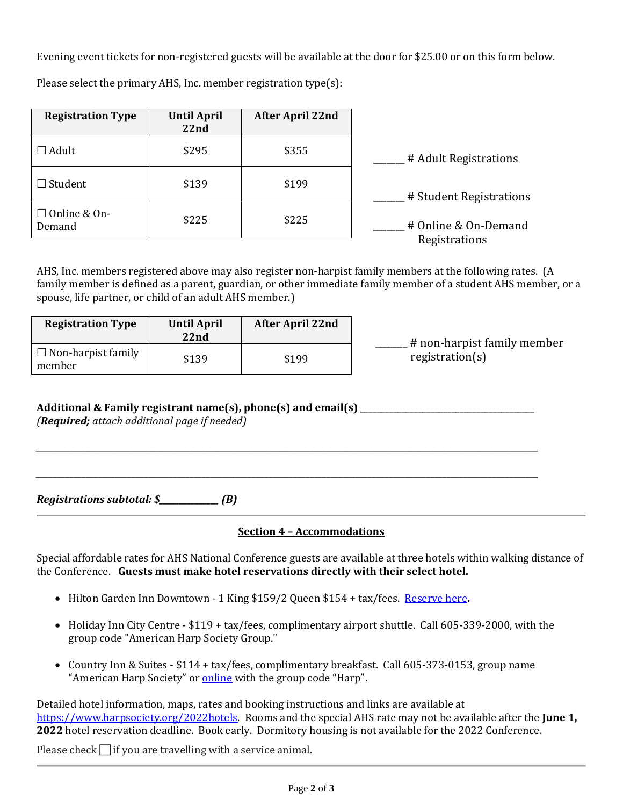Evening event tickets for non-registered guests will be available at the door for \$25.00 or on this form below.

Please select the primary AHS, Inc. member registration type(s):

| <b>Registration Type</b>      | <b>Until April</b><br>22 <sub>nd</sub> | <b>After April 22nd</b> |                         |
|-------------------------------|----------------------------------------|-------------------------|-------------------------|
| $\Box$ Adult                  | \$295                                  | \$355                   | # Adult Registrations   |
| Student                       | \$139                                  | \$199                   | # Student Registrations |
| $\Box$ Online & On-<br>Demand | \$225                                  | \$225                   | # Online & On-Demand    |
|                               |                                        |                         | Registrations           |

AHS, Inc. members registered above may also register non-harpist family members at the following rates. (A family member is defined as a parent, guardian, or other immediate family member of a student AHS member, or a spouse, life partner, or child of an adult AHS member.)

| <b>Registration Type</b>            | <b>Until April</b><br>22nd | <b>After April 22nd</b> | # non-harpist family member |
|-------------------------------------|----------------------------|-------------------------|-----------------------------|
| $\Box$ Non-harpist family<br>member | \$139                      | \$199                   | region(s)                   |

*\_\_\_\_\_\_\_\_\_\_\_\_\_\_\_\_\_\_\_\_\_\_\_\_\_\_\_\_\_\_\_\_\_\_\_\_\_\_\_\_\_\_\_\_\_\_\_\_\_\_\_\_\_\_\_\_\_\_\_\_\_\_\_\_\_\_\_\_\_\_\_\_\_\_\_\_\_\_\_\_\_\_\_\_\_\_\_\_\_\_\_\_\_\_\_\_\_\_\_\_\_\_\_\_\_\_\_\_\_\_\_\_\_\_\_\_\_\_\_\_\_*

*\_\_\_\_\_\_\_\_\_\_\_\_\_\_\_\_\_\_\_\_\_\_\_\_\_\_\_\_\_\_\_\_\_\_\_\_\_\_\_\_\_\_\_\_\_\_\_\_\_\_\_\_\_\_\_\_\_\_\_\_\_\_\_\_\_\_\_\_\_\_\_\_\_\_\_\_\_\_\_\_\_\_\_\_\_\_\_\_\_\_\_\_\_\_\_\_\_\_\_\_\_\_\_\_\_\_\_\_\_\_\_\_\_\_\_\_\_\_\_\_\_*

# **Additional & Family registrant name(s), phone(s) and email(s)** \_\_\_\_\_\_\_\_\_\_\_\_\_\_\_\_\_\_\_\_\_\_\_\_\_\_\_\_\_\_\_\_\_\_\_\_\_\_\_\_\_\_

*(Required; attach additional page if needed)*

*Registrations subtotal: \$\_\_\_\_\_\_\_\_\_\_\_\_\_\_\_ (B)*

## **Section 4 – Accommodations**

Special affordable rates for AHS National Conference guests are available at three hotels within walking distance of the Conference. **Guests must make hotel reservations directly with their select hotel.** 

- Hilton Garden Inn Downtown 1 King \$159/2 Queen \$154 + tax/fees. [Reserve here](https://www.my-event.hilton.com/fsddwgi-harp-3f2df7e0-e0ea-46c2-b62c-c35bd6e1fc1f/)**.**
- Holiday Inn City Centre \$119 + tax/fees, complimentary airport shuttle. Call 605-339-2000, with the group code "American Harp Society Group."
- Country Inn & Suites \$114 + tax/fees, complimentary breakfast. Call 605-373-0153, group name "American Harp Society" o[r online](https://www.radissonhotelsamericas.com/en-us/hotels/country-inn-sioux-falls-sd?cid=a:se+b:gmb+c:amer+i:local+e:cis+d:us+h:SDSFALLS) with the group code "Harp".

Detailed hotel information, maps, rates and booking instructions and links are available at [https://www.harpsociety.org/2022hotels.](https://www.harpsociety.org/2022hotels) Rooms and the special AHS rate may not be available after the **June 1, 2022** hotel reservation deadline. Book early. Dormitory housing is not available for the 2022 Conference.

Please check  $\Box$  if you are travelling with a service animal.